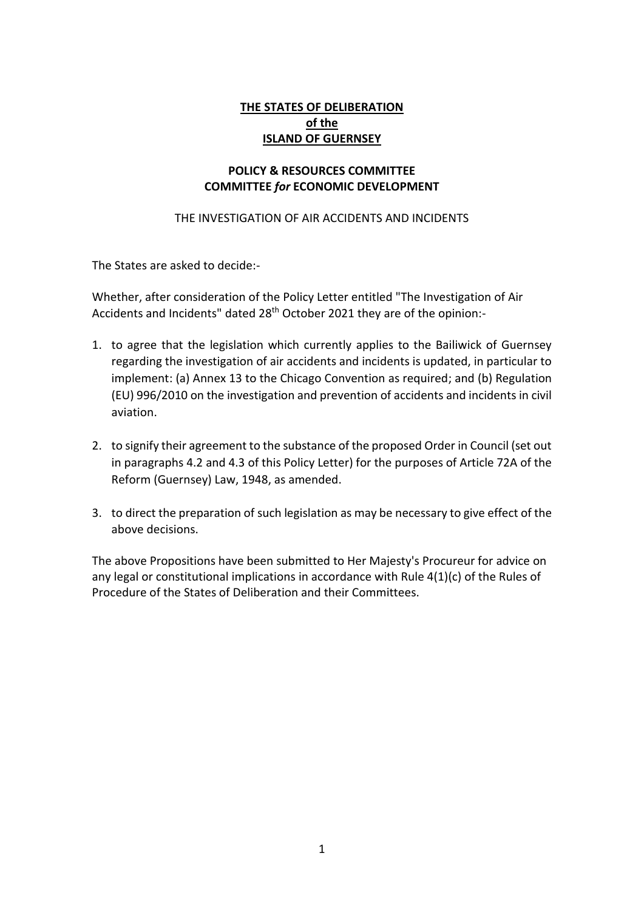## **THE STATES OF DELIBERATION of the ISLAND OF GUERNSEY**

#### **POLICY & RESOURCES COMMITTEE COMMITTEE** *for* **ECONOMIC DEVELOPMENT**

#### THE INVESTIGATION OF AIR ACCIDENTS AND INCIDENTS

The States are asked to decide:-

Whether, after consideration of the Policy Letter entitled "The Investigation of Air Accidents and Incidents" dated 28<sup>th</sup> October 2021 they are of the opinion:-

- 1. to agree that the legislation which currently applies to the Bailiwick of Guernsey regarding the investigation of air accidents and incidents is updated, in particular to implement: (a) Annex 13 to the Chicago Convention as required; and (b) Regulation (EU) 996/2010 on the investigation and prevention of accidents and incidents in civil aviation.
- 2. to signify their agreement to the substance of the proposed Order in Council (set out in paragraphs 4.2 and 4.3 of this Policy Letter) for the purposes of Article 72A of the Reform (Guernsey) Law, 1948, as amended.
- 3. to direct the preparation of such legislation as may be necessary to give effect of the above decisions.

The above Propositions have been submitted to Her Majesty's Procureur for advice on any legal or constitutional implications in accordance with Rule 4(1)(c) of the Rules of Procedure of the States of Deliberation and their Committees.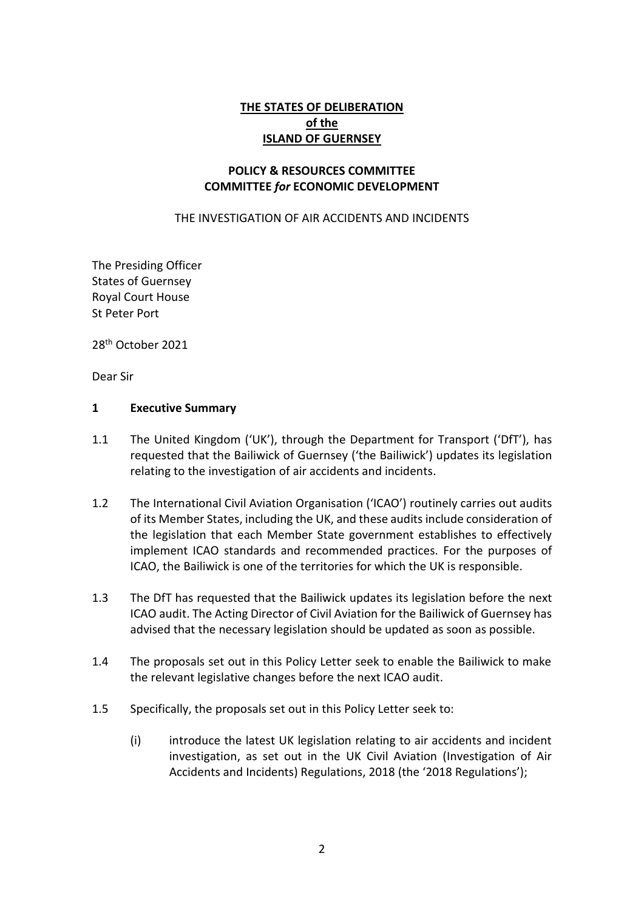## **THE STATES OF DELIBERATION of the ISLAND OF GUERNSEY**

#### **POLICY & RESOURCES COMMITTEE COMMITTEE** *for* **ECONOMIC DEVELOPMENT**

THE INVESTIGATION OF AIR ACCIDENTS AND INCIDENTS

The Presiding Officer States of Guernsey Royal Court House St Peter Port

28th October 2021

Dear Sir

#### **1 Executive Summary**

- 1.1 The United Kingdom ('UK'), through the Department for Transport ('DfT'), has requested that the Bailiwick of Guernsey ('the Bailiwick') updates its legislation relating to the investigation of air accidents and incidents.
- 1.2 The International Civil Aviation Organisation ('ICAO') routinely carries out audits of its Member States, including the UK, and these audits include consideration of the legislation that each Member State government establishes to effectively implement ICAO standards and recommended practices. For the purposes of ICAO, the Bailiwick is one of the territories for which the UK is responsible.
- 1.3 The DfT has requested that the Bailiwick updates its legislation before the next ICAO audit. The Acting Director of Civil Aviation for the Bailiwick of Guernsey has advised that the necessary legislation should be updated as soon as possible.
- 1.4 The proposals set out in this Policy Letter seek to enable the Bailiwick to make the relevant legislative changes before the next ICAO audit.
- 1.5 Specifically, the proposals set out in this Policy Letter seek to:
	- (i) introduce the latest UK legislation relating to air accidents and incident investigation, as set out in the UK Civil Aviation (Investigation of Air Accidents and Incidents) Regulations, 2018 (the '2018 Regulations');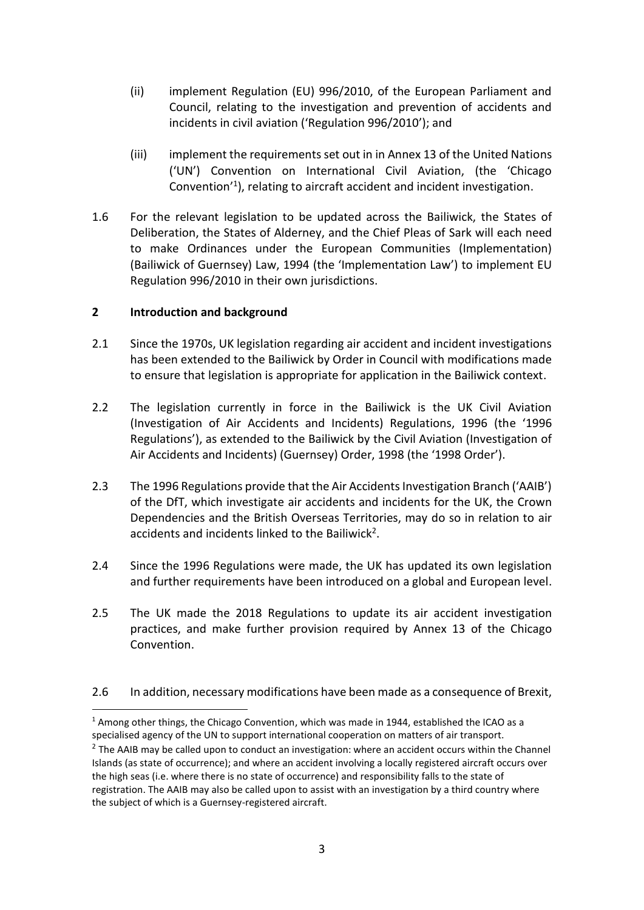- (ii) implement Regulation (EU) 996/2010, of the European Parliament and Council, relating to the investigation and prevention of accidents and incidents in civil aviation ('Regulation 996/2010'); and
- (iii) implement the requirements set out in in Annex 13 of the United Nations ('UN') Convention on International Civil Aviation, (the 'Chicago Convention<sup>'1</sup>), relating to aircraft accident and incident investigation.
- 1.6 For the relevant legislation to be updated across the Bailiwick, the States of Deliberation, the States of Alderney, and the Chief Pleas of Sark will each need to make Ordinances under the European Communities (Implementation) (Bailiwick of Guernsey) Law, 1994 (the 'Implementation Law') to implement EU Regulation 996/2010 in their own jurisdictions.

## **2 Introduction and background**

- 2.1 Since the 1970s, UK legislation regarding air accident and incident investigations has been extended to the Bailiwick by Order in Council with modifications made to ensure that legislation is appropriate for application in the Bailiwick context.
- 2.2 The legislation currently in force in the Bailiwick is the UK Civil Aviation (Investigation of Air Accidents and Incidents) Regulations, 1996 (the '1996 Regulations'), as extended to the Bailiwick by the Civil Aviation (Investigation of Air Accidents and Incidents) (Guernsey) Order, 1998 (the '1998 Order').
- 2.3 The 1996 Regulations provide that the Air Accidents Investigation Branch ('AAIB') of the DfT, which investigate air accidents and incidents for the UK, the Crown Dependencies and the British Overseas Territories, may do so in relation to air accidents and incidents linked to the Bailiwick<sup>2</sup>.
- 2.4 Since the 1996 Regulations were made, the UK has updated its own legislation and further requirements have been introduced on a global and European level.
- 2.5 The UK made the 2018 Regulations to update its air accident investigation practices, and make further provision required by Annex 13 of the Chicago Convention.

## 2.6 In addition, necessary modifications have been made as a consequence of Brexit,

<sup>&</sup>lt;sup>1</sup> Among other things, the Chicago Convention, which was made in 1944, established the ICAO as a specialised agency of the UN to support international cooperation on matters of air transport.

 $2$  The AAIB may be called upon to conduct an investigation: where an accident occurs within the Channel Islands (as state of occurrence); and where an accident involving a locally registered aircraft occurs over the high seas (i.e. where there is no state of occurrence) and responsibility falls to the state of registration. The AAIB may also be called upon to assist with an investigation by a third country where the subject of which is a Guernsey-registered aircraft.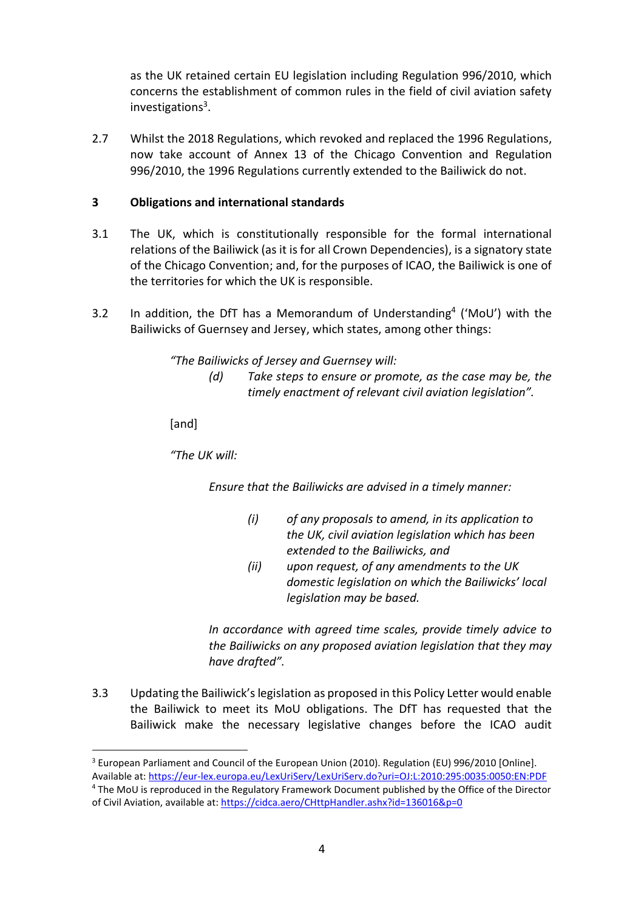as the UK retained certain EU legislation including Regulation 996/2010, which concerns the establishment of common rules in the field of civil aviation safety investigations<sup>3</sup>.

2.7 Whilst the 2018 Regulations, which revoked and replaced the 1996 Regulations, now take account of Annex 13 of the Chicago Convention and Regulation 996/2010, the 1996 Regulations currently extended to the Bailiwick do not.

## **3 Obligations and international standards**

- 3.1 The UK, which is constitutionally responsible for the formal international relations of the Bailiwick (as it is for all Crown Dependencies), is a signatory state of the Chicago Convention; and, for the purposes of ICAO, the Bailiwick is one of the territories for which the UK is responsible.
- 3.2 In addition, the DfT has a Memorandum of Understanding<sup>4</sup> ('MoU') with the Bailiwicks of Guernsey and Jersey, which states, among other things:

*"The Bailiwicks of Jersey and Guernsey will:*

*(d) Take steps to ensure or promote, as the case may be, the timely enactment of relevant civil aviation legislation".* 

[and]

*"The UK will:* 

*Ensure that the Bailiwicks are advised in a timely manner:* 

- *(i) of any proposals to amend, in its application to the UK, civil aviation legislation which has been extended to the Bailiwicks, and*
- *(ii) upon request, of any amendments to the UK domestic legislation on which the Bailiwicks' local legislation may be based.*

*In accordance with agreed time scales, provide timely advice to the Bailiwicks on any proposed aviation legislation that they may have drafted".* 

3.3 Updating the Bailiwick's legislation as proposed in this Policy Letter would enable the Bailiwick to meet its MoU obligations. The DfT has requested that the Bailiwick make the necessary legislative changes before the ICAO audit

of Civil Aviation, available at[: https://cidca.aero/CHttpHandler.ashx?id=136016&p=0](https://cidca.aero/CHttpHandler.ashx?id=136016&p=0)

<sup>&</sup>lt;sup>3</sup> European Parliament and Council of the European Union (2010). Regulation (EU) 996/2010 [Online].

Available at[: https://eur-lex.europa.eu/LexUriServ/LexUriServ.do?uri=OJ:L:2010:295:0035:0050:EN:PDF](https://eur-lex.europa.eu/LexUriServ/LexUriServ.do?uri=OJ:L:2010:295:0035:0050:EN:PDF) <sup>4</sup> The MoU is reproduced in the Regulatory Framework Document published by the Office of the Director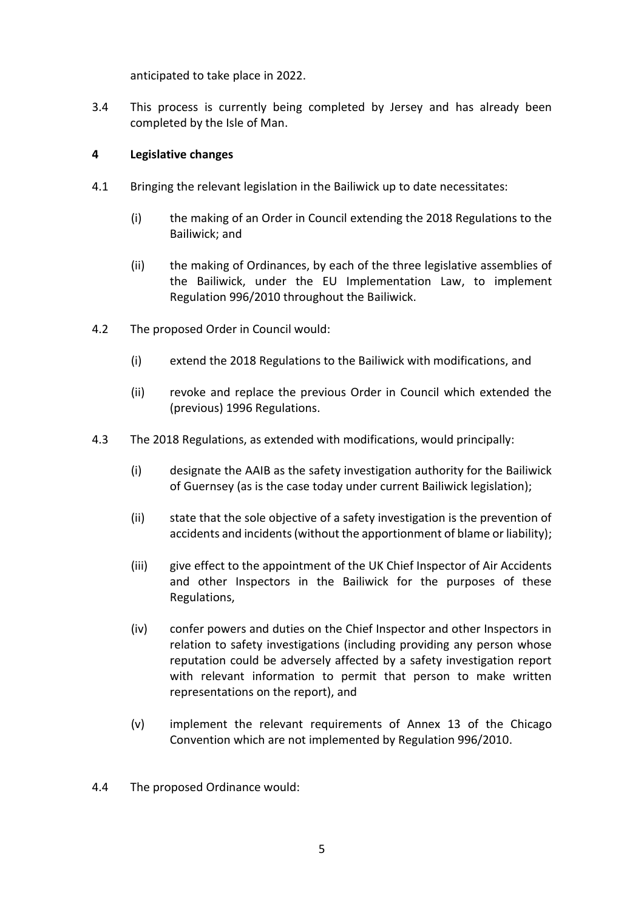anticipated to take place in 2022.

3.4 This process is currently being completed by Jersey and has already been completed by the Isle of Man.

## **4 Legislative changes**

- 4.1 Bringing the relevant legislation in the Bailiwick up to date necessitates:
	- (i) the making of an Order in Council extending the 2018 Regulations to the Bailiwick; and
	- (ii) the making of Ordinances, by each of the three legislative assemblies of the Bailiwick, under the EU Implementation Law, to implement Regulation 996/2010 throughout the Bailiwick.
- 4.2 The proposed Order in Council would:
	- (i) extend the 2018 Regulations to the Bailiwick with modifications, and
	- (ii) revoke and replace the previous Order in Council which extended the (previous) 1996 Regulations.
- 4.3 The 2018 Regulations, as extended with modifications, would principally:
	- (i) designate the AAIB as the safety investigation authority for the Bailiwick of Guernsey (as is the case today under current Bailiwick legislation);
	- (ii) state that the sole objective of a safety investigation is the prevention of accidents and incidents (without the apportionment of blame or liability);
	- (iii) give effect to the appointment of the UK Chief Inspector of Air Accidents and other Inspectors in the Bailiwick for the purposes of these Regulations,
	- (iv) confer powers and duties on the Chief Inspector and other Inspectors in relation to safety investigations (including providing any person whose reputation could be adversely affected by a safety investigation report with relevant information to permit that person to make written representations on the report), and
	- (v) implement the relevant requirements of Annex 13 of the Chicago Convention which are not implemented by Regulation 996/2010.
- 4.4 The proposed Ordinance would: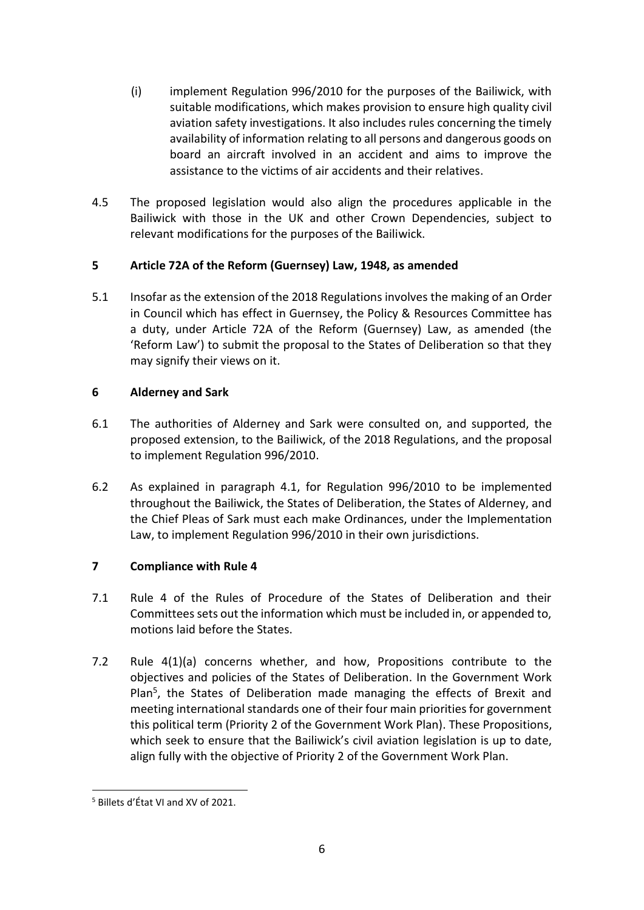- (i) implement Regulation 996/2010 for the purposes of the Bailiwick, with suitable modifications, which makes provision to ensure high quality civil aviation safety investigations. It also includes rules concerning the timely availability of information relating to all persons and dangerous goods on board an aircraft involved in an accident and aims to improve the assistance to the victims of air accidents and their relatives.
- 4.5 The proposed legislation would also align the procedures applicable in the Bailiwick with those in the UK and other Crown Dependencies, subject to relevant modifications for the purposes of the Bailiwick.

# **5 Article 72A of the Reform (Guernsey) Law, 1948, as amended**

5.1 Insofar as the extension of the 2018 Regulations involves the making of an Order in Council which has effect in Guernsey, the Policy & Resources Committee has a duty, under Article 72A of the Reform (Guernsey) Law, as amended (the 'Reform Law') to submit the proposal to the States of Deliberation so that they may signify their views on it.

# **6 Alderney and Sark**

- 6.1 The authorities of Alderney and Sark were consulted on, and supported, the proposed extension, to the Bailiwick, of the 2018 Regulations, and the proposal to implement Regulation 996/2010.
- 6.2 As explained in paragraph 4.1, for Regulation 996/2010 to be implemented throughout the Bailiwick, the States of Deliberation, the States of Alderney, and the Chief Pleas of Sark must each make Ordinances, under the Implementation Law, to implement Regulation 996/2010 in their own jurisdictions.

# **7 Compliance with Rule 4**

- 7.1 Rule 4 of the Rules of Procedure of the States of Deliberation and their Committees sets out the information which must be included in, or appended to, motions laid before the States.
- 7.2 Rule 4(1)(a) concerns whether, and how, Propositions contribute to the objectives and policies of the States of Deliberation. In the Government Work Plan<sup>5</sup>, the States of Deliberation made managing the effects of Brexit and meeting international standards one of their four main priorities for government this political term (Priority 2 of the Government Work Plan). These Propositions, which seek to ensure that the Bailiwick's civil aviation legislation is up to date, align fully with the objective of Priority 2 of the Government Work Plan.

<sup>5</sup> Billets d'État VI and XV of 2021.